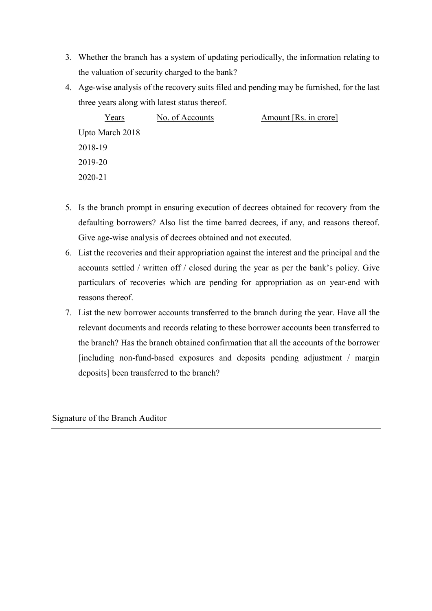- 3. Whether the branch has a system of updating periodically, the information relating to the valuation of security charged to the bank?
- 4. Age-wise analysis of the recovery suits filed and pending may be furnished, for the last three years along with latest status thereof.

| Years           | No. of Accounts | Amount [Rs. in crore] |
|-----------------|-----------------|-----------------------|
| Upto March 2018 |                 |                       |
| 2018-19         |                 |                       |
| 2019-20         |                 |                       |
| 2020-21         |                 |                       |

- 5. Is the branch prompt in ensuring execution of decrees obtained for recovery from the defaulting borrowers? Also list the time barred decrees, if any, and reasons thereof. Give age-wise analysis of decrees obtained and not executed.
- 6. List the recoveries and their appropriation against the interest and the principal and the accounts settled / written off / closed during the year as per the bank's policy. Give particulars of recoveries which are pending for appropriation as on year-end with reasons thereof.
- 7. List the new borrower accounts transferred to the branch during the year. Have all the relevant documents and records relating to these borrower accounts been transferred to the branch? Has the branch obtained confirmation that all the accounts of the borrower [including non-fund-based exposures and deposits pending adjustment / margin deposits] been transferred to the branch?

Signature of the Branch Auditor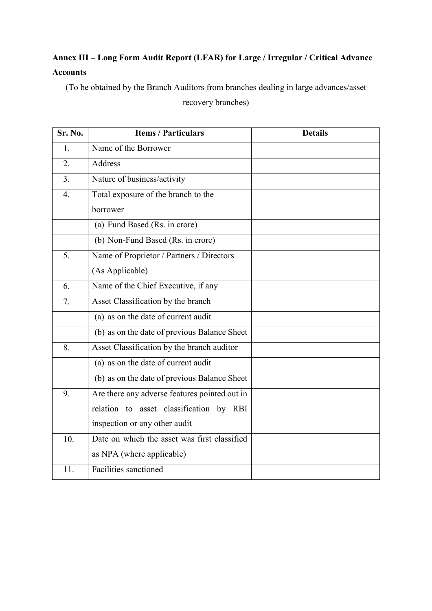## **Annex III – Long Form Audit Report (LFAR) for Large / Irregular / Critical Advance Accounts**

(To be obtained by the Branch Auditors from branches dealing in large advances/asset

recovery branches)

| Sr. No.          | <b>Items / Particulars</b>                    | <b>Details</b> |
|------------------|-----------------------------------------------|----------------|
| 1.               | Name of the Borrower                          |                |
| 2.               | Address                                       |                |
| 3.               | Nature of business/activity                   |                |
| $\overline{4}$ . | Total exposure of the branch to the           |                |
|                  | borrower                                      |                |
|                  | (a) Fund Based (Rs. in crore)                 |                |
|                  | (b) Non-Fund Based (Rs. in crore)             |                |
| 5.               | Name of Proprietor / Partners / Directors     |                |
|                  | (As Applicable)                               |                |
| 6.               | Name of the Chief Executive, if any           |                |
| 7.               | Asset Classification by the branch            |                |
|                  | (a) as on the date of current audit           |                |
|                  | (b) as on the date of previous Balance Sheet  |                |
| 8.               | Asset Classification by the branch auditor    |                |
|                  | (a) as on the date of current audit           |                |
|                  | (b) as on the date of previous Balance Sheet  |                |
| 9.               | Are there any adverse features pointed out in |                |
|                  | relation to asset classification by RBI       |                |
|                  | inspection or any other audit                 |                |
| 10.              | Date on which the asset was first classified  |                |
|                  | as NPA (where applicable)                     |                |
| 11.              | Facilities sanctioned                         |                |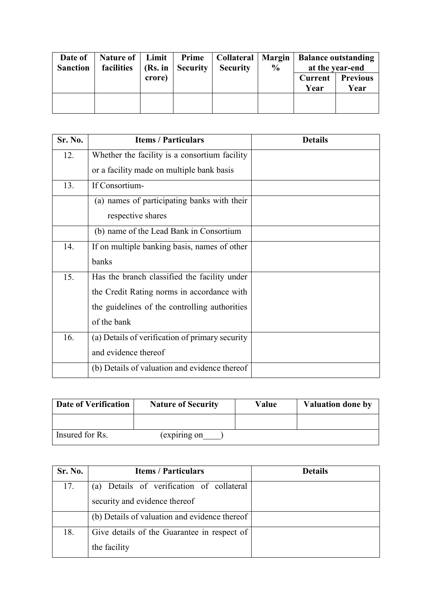| Date of<br><b>Sanction</b> | Nature of<br>facilities | Limit<br>(Rs. in | Prime<br><b>Security</b> | Collateral   Margin  <br><b>Security</b> | $\frac{6}{10}$ | <b>Balance outstanding</b><br>at the year-end |                         |
|----------------------------|-------------------------|------------------|--------------------------|------------------------------------------|----------------|-----------------------------------------------|-------------------------|
|                            |                         | crore)           |                          |                                          |                | <b>Current</b><br>Year                        | <b>Previous</b><br>Year |
|                            |                         |                  |                          |                                          |                |                                               |                         |

| Sr. No. | <b>Items / Particulars</b>                      | <b>Details</b> |
|---------|-------------------------------------------------|----------------|
| 12.     | Whether the facility is a consortium facility   |                |
|         | or a facility made on multiple bank basis       |                |
| 13.     | If Consortium-                                  |                |
|         | (a) names of participating banks with their     |                |
|         | respective shares                               |                |
|         | (b) name of the Lead Bank in Consortium         |                |
| 14.     | If on multiple banking basis, names of other    |                |
|         | banks                                           |                |
| 15.     | Has the branch classified the facility under    |                |
|         | the Credit Rating norms in accordance with      |                |
|         | the guidelines of the controlling authorities   |                |
|         | of the bank                                     |                |
| 16.     | (a) Details of verification of primary security |                |
|         | and evidence thereof                            |                |
|         | (b) Details of valuation and evidence thereof   |                |

| Date of Verification | <b>Nature of Security</b> | Value | <b>Valuation done by</b> |
|----------------------|---------------------------|-------|--------------------------|
|                      |                           |       |                          |
| Insured for Rs.      | (expiring on              |       |                          |

| Sr. No. | <b>Items / Particulars</b>                    | <b>Details</b> |
|---------|-----------------------------------------------|----------------|
| 17.     | Details of verification of collateral<br>(a)  |                |
|         | security and evidence thereof                 |                |
|         | (b) Details of valuation and evidence thereof |                |
| 18.     | Give details of the Guarantee in respect of   |                |
|         | the facility                                  |                |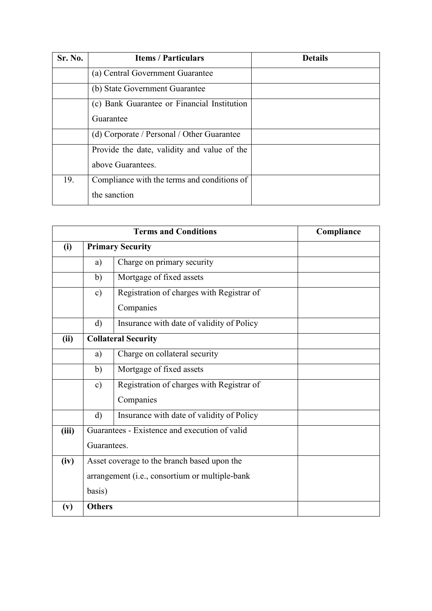| Sr. No. | <b>Items / Particulars</b>                  | <b>Details</b> |
|---------|---------------------------------------------|----------------|
|         | (a) Central Government Guarantee            |                |
|         | (b) State Government Guarantee              |                |
|         | (c) Bank Guarantee or Financial Institution |                |
|         | Guarantee                                   |                |
|         | (d) Corporate / Personal / Other Guarantee  |                |
|         | Provide the date, validity and value of the |                |
|         | above Guarantees.                           |                |
| 19.     | Compliance with the terms and conditions of |                |
|         | the sanction                                |                |

|       |                                                | Compliance                                    |  |
|-------|------------------------------------------------|-----------------------------------------------|--|
| (i)   |                                                | <b>Primary Security</b>                       |  |
|       | a)                                             | Charge on primary security                    |  |
|       | $\mathbf{b}$                                   | Mortgage of fixed assets                      |  |
|       | $\mathbf{c})$                                  | Registration of charges with Registrar of     |  |
|       |                                                | Companies                                     |  |
|       | $\rm d)$                                       | Insurance with date of validity of Policy     |  |
| (ii)  |                                                | <b>Collateral Security</b>                    |  |
|       | a)                                             | Charge on collateral security                 |  |
|       | b)                                             | Mortgage of fixed assets                      |  |
|       | $\mathbf{c})$                                  | Registration of charges with Registrar of     |  |
|       |                                                | Companies                                     |  |
|       | $\rm d$                                        | Insurance with date of validity of Policy     |  |
| (iii) |                                                | Guarantees - Existence and execution of valid |  |
|       | Guarantees.                                    |                                               |  |
| (iv)  | Asset coverage to the branch based upon the    |                                               |  |
|       | arrangement (i.e., consortium or multiple-bank |                                               |  |
|       | basis)                                         |                                               |  |
| (v)   | <b>Others</b>                                  |                                               |  |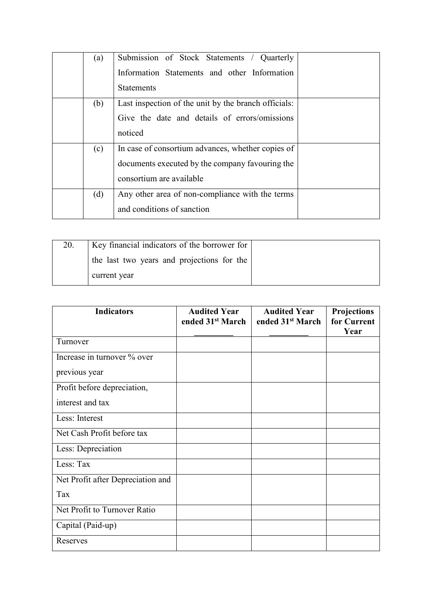| (a) | Submission of Stock Statements / Quarterly           |  |
|-----|------------------------------------------------------|--|
|     | Information Statements and other Information         |  |
|     | <b>Statements</b>                                    |  |
| (b) | Last inspection of the unit by the branch officials: |  |
|     | Give the date and details of errors/omissions        |  |
|     | noticed                                              |  |
| (c) | In case of consortium advances, whether copies of    |  |
|     | documents executed by the company favouring the      |  |
|     | consortium are available                             |  |
| (d) | Any other area of non-compliance with the terms      |  |
|     | and conditions of sanction                           |  |

| 20. | Key financial indicators of the borrower for |  |
|-----|----------------------------------------------|--|
|     | the last two years and projections for the   |  |
|     | current year                                 |  |

| <b>Indicators</b>                 | <b>Audited Year</b><br>ended 31 <sup>st</sup> March | <b>Audited Year</b><br>ended 31 <sup>st</sup> March | Projections<br>for Current<br>Year |
|-----------------------------------|-----------------------------------------------------|-----------------------------------------------------|------------------------------------|
| Turnover                          |                                                     |                                                     |                                    |
| Increase in turnover % over       |                                                     |                                                     |                                    |
| previous year                     |                                                     |                                                     |                                    |
| Profit before depreciation,       |                                                     |                                                     |                                    |
| interest and tax                  |                                                     |                                                     |                                    |
| Less: Interest                    |                                                     |                                                     |                                    |
| Net Cash Profit before tax        |                                                     |                                                     |                                    |
| Less: Depreciation                |                                                     |                                                     |                                    |
| Less: Tax                         |                                                     |                                                     |                                    |
| Net Profit after Depreciation and |                                                     |                                                     |                                    |
| Tax                               |                                                     |                                                     |                                    |
| Net Profit to Turnover Ratio      |                                                     |                                                     |                                    |
| Capital (Paid-up)                 |                                                     |                                                     |                                    |
| Reserves                          |                                                     |                                                     |                                    |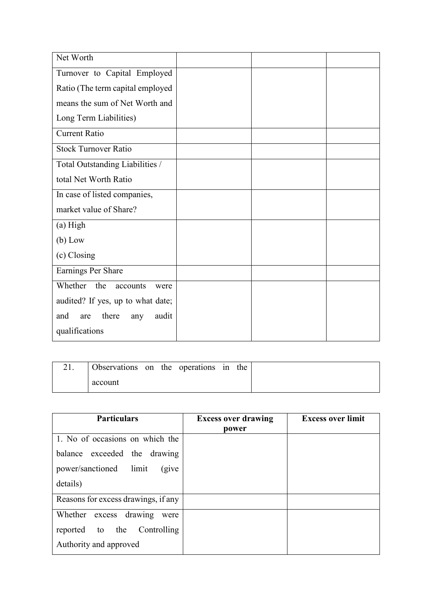| Net Worth                           |  |  |
|-------------------------------------|--|--|
| Turnover to Capital Employed        |  |  |
| Ratio (The term capital employed    |  |  |
| means the sum of Net Worth and      |  |  |
| Long Term Liabilities)              |  |  |
| Current Ratio                       |  |  |
| <b>Stock Turnover Ratio</b>         |  |  |
| Total Outstanding Liabilities /     |  |  |
| total Net Worth Ratio               |  |  |
| In case of listed companies,        |  |  |
| market value of Share?              |  |  |
| (a) High                            |  |  |
| $(b)$ Low                           |  |  |
| (c) Closing                         |  |  |
| Earnings Per Share                  |  |  |
| Whether<br>the<br>accounts<br>were  |  |  |
| audited? If yes, up to what date;   |  |  |
| there<br>audit<br>and<br>are<br>any |  |  |
| qualifications                      |  |  |

| Observations on the operations in the |  |  |  |
|---------------------------------------|--|--|--|
| account                               |  |  |  |

| <b>Particulars</b>                  | <b>Excess over drawing</b><br>power | <b>Excess over limit</b> |
|-------------------------------------|-------------------------------------|--------------------------|
| 1. No of occasions on which the     |                                     |                          |
| balance exceeded the drawing        |                                     |                          |
| power/sanctioned limit<br>(give)    |                                     |                          |
| details)                            |                                     |                          |
| Reasons for excess drawings, if any |                                     |                          |
| Whether excess drawing<br>were      |                                     |                          |
| Controlling<br>reported to the      |                                     |                          |
| Authority and approved              |                                     |                          |